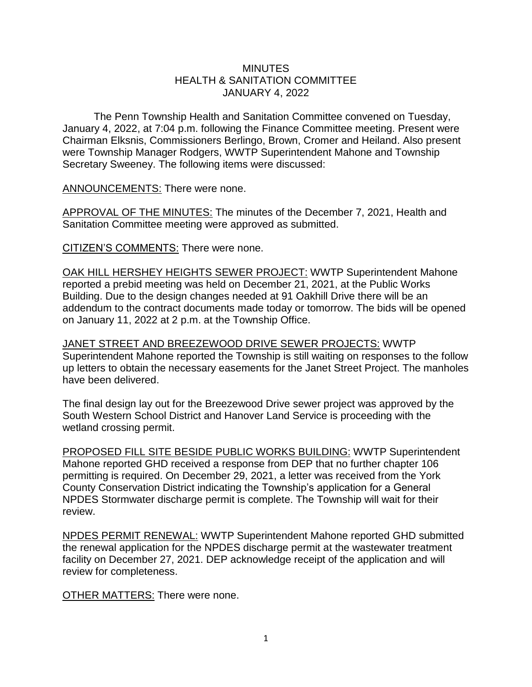## MINUTES HEALTH & SANITATION COMMITTEE JANUARY 4, 2022

The Penn Township Health and Sanitation Committee convened on Tuesday, January 4, 2022, at 7:04 p.m. following the Finance Committee meeting. Present were Chairman Elksnis, Commissioners Berlingo, Brown, Cromer and Heiland. Also present were Township Manager Rodgers, WWTP Superintendent Mahone and Township Secretary Sweeney. The following items were discussed:

ANNOUNCEMENTS: There were none.

APPROVAL OF THE MINUTES: The minutes of the December 7, 2021, Health and Sanitation Committee meeting were approved as submitted.

CITIZEN'S COMMENTS: There were none.

OAK HILL HERSHEY HEIGHTS SEWER PROJECT: WWTP Superintendent Mahone reported a prebid meeting was held on December 21, 2021, at the Public Works Building. Due to the design changes needed at 91 Oakhill Drive there will be an addendum to the contract documents made today or tomorrow. The bids will be opened on January 11, 2022 at 2 p.m. at the Township Office.

JANET STREET AND BREEZEWOOD DRIVE SEWER PROJECTS: WWTP Superintendent Mahone reported the Township is still waiting on responses to the follow up letters to obtain the necessary easements for the Janet Street Project. The manholes have been delivered.

The final design lay out for the Breezewood Drive sewer project was approved by the South Western School District and Hanover Land Service is proceeding with the wetland crossing permit.

PROPOSED FILL SITE BESIDE PUBLIC WORKS BUILDING: WWTP Superintendent Mahone reported GHD received a response from DEP that no further chapter 106 permitting is required. On December 29, 2021, a letter was received from the York County Conservation District indicating the Township's application for a General NPDES Stormwater discharge permit is complete. The Township will wait for their review.

NPDES PERMIT RENEWAL: WWTP Superintendent Mahone reported GHD submitted the renewal application for the NPDES discharge permit at the wastewater treatment facility on December 27, 2021. DEP acknowledge receipt of the application and will review for completeness.

OTHER MATTERS: There were none.